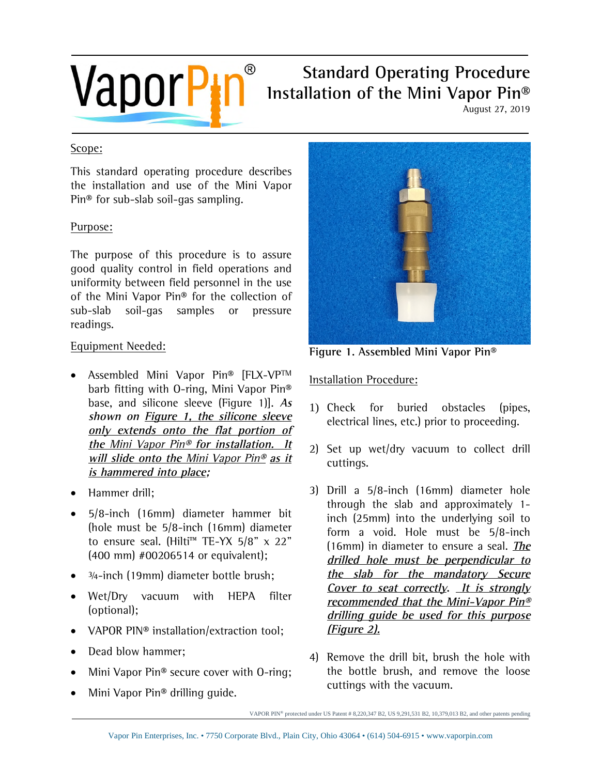

# **VaporPIP** Installation of the Mini Vapor Pin® **Installation of the Mini Vapor Pin®**

August 27, 2019

#### Scope:

This standard operating procedure describes the installation and use of the Mini Vapor Pin® for sub-slab soil-gas sampling.

### Purpose:

The purpose of this procedure is to assure good quality control in field operations and uniformity between field personnel in the use of the Mini Vapor Pin® for the collection of sub-slab soil-gas samples or pressure readings.

### Equipment Needed:

- Assembled Mini Vapor Pin® [FLX-VP™ barb fitting with O-ring, Mini Vapor Pin® base, and silicone sleeve (Figure 1)]. **As shown on Figure 1, the silicone sleeve only extends onto the flat portion of the** Mini Vapor Pin® **for installation. It will slide onto the** Mini Vapor Pin® **as it is hammered into place;**
- Hammer drill:
- 5/8-inch (16mm) diameter hammer bit (hole must be 5/8-inch (16mm) diameter to ensure seal. (Hilti<sup>™</sup> TE-YX 5/8" x 22" (400 mm) #00206514 or equivalent);
- <sup>3/4-inch (19mm) diameter bottle brush:</sup>
- Wet/Dry vacuum with HEPA filter (optional);
- VAPOR PIN<sup>®</sup> installation/extraction tool;
- Dead blow hammer:
- Mini Vapor Pin® secure cover with O-ring;
- Mini Vapor Pin® drilling guide.



**Figure 1. Assembled Mini Vapor Pin®** 

## Installation Procedure:

- 1) Check for buried obstacles (pipes, electrical lines, etc.) prior to proceeding.
- 2) Set up wet/dry vacuum to collect drill cuttings.
- 3) Drill a 5/8-inch (16mm) diameter hole through the slab and approximately 1 inch (25mm) into the underlying soil to form a void. Hole must be 5/8-inch (16mm) in diameter to ensure a seal. **The drilled hole must be perpendicular to the slab for the mandatory Secure Cover to seat correctly. It is strongly recommended that the Mini-Vapor Pin® drilling guide be used for this purpose (Figure 2).**
- 4) Remove the drill bit, brush the hole with the bottle brush, and remove the loose cuttings with the vacuum.

VAPOR PIN® protected under US Patent # 8,220,347 B2, US 9,291,531 B2, 10,379,013 B2, and other patents pending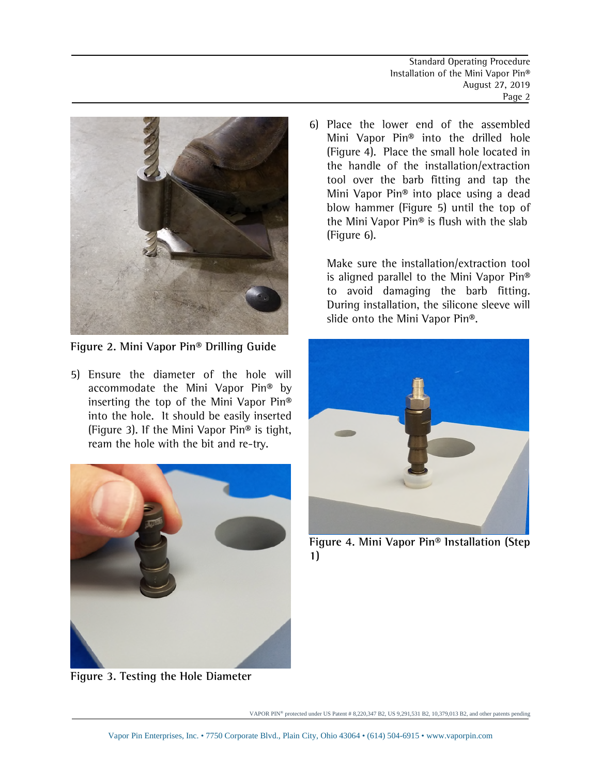

**Figure 2. Mini Vapor Pin® Drilling Guide** 

5) Ensure the diameter of the hole will accommodate the Mini Vapor Pin® by inserting the top of the Mini Vapor Pin® into the hole. It should be easily inserted (Figure 3). If the Mini Vapor Pin® is tight, ream the hole with the bit and re-try.



**Figure 3. Testing the Hole Diameter** 

6) Place the lower end of the assembled Mini Vapor Pin® into the drilled hole (Figure 4). Place the small hole located in the handle of the installation/extraction tool over the barb fitting and tap the Mini Vapor Pin® into place using a dead blow hammer (Figure 5) until the top of the Mini Vapor Pin® is flush with the slab (Figure 6).

Make sure the installation/extraction tool is aligned parallel to the Mini Vapor Pin® to avoid damaging the barb fitting. During installation, the silicone sleeve will slide onto the Mini Vapor Pin®.



**Figure 4. Mini Vapor Pin® Installation (Step 1)**

VAPOR PIN® protected under US Patent # 8,220,347 B2, US 9,291,531 B2, 10,379,013 B2, and other patents pending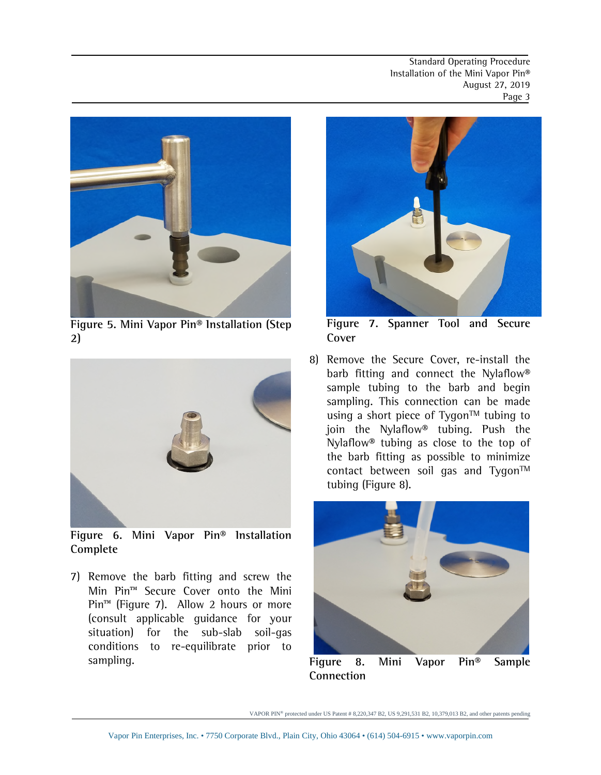Standard Operating Procedure Installation of the Mini Vapor Pin® August 27, 2019 Page 3



**Figure 5. Mini Vapor Pin® Installation (Step 2)**



**Figure 6. Mini Vapor Pin® Installation Complete** 

7) Remove the barb fitting and screw the Min Pin™ Secure Cover onto the Mini Pin<sup>™</sup> (Figure 7). Allow 2 hours or more (consult applicable guidance for your situation) for the sub-slab soil-gas conditions to re-equilibrate prior to sampling.



**Figure 7. Spanner Tool and Secure Cover**

8) Remove the Secure Cover, re-install the barb fitting and connect the Nylaflow® sample tubing to the barb and begin sampling. This connection can be made using a short piece of Tygon™ tubing to join the Nylaflow® tubing. Push the Nylaflow® tubing as close to the top of the barb fitting as possible to minimize contact between soil gas and Tygon™ tubing (Figure 8).



**Figure 8. Mini Vapor Pin® Sample Connection** 

VAPOR PIN® protected under US Patent # 8,220,347 B2, US 9,291,531 B2, 10,379,013 B2, and other patents pending